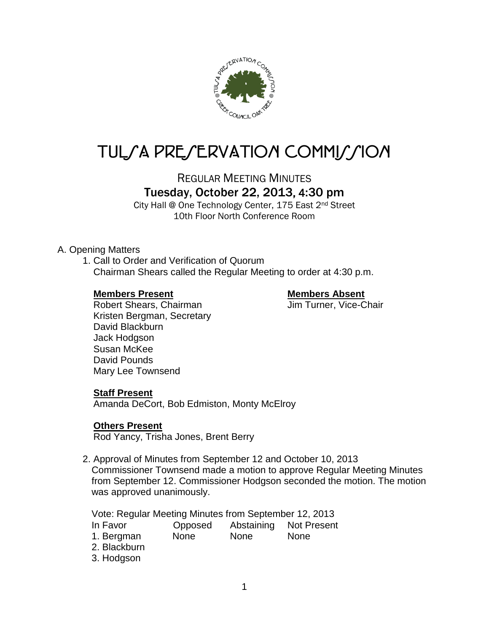

# TUL/A PRE/ERVATION COMMI*J*/ION

REGULAR MEETING MINUTES

## Tuesday, October 22, 2013, 4:30 pm

City Hall @ One Technology Center, 175 East 2nd Street 10th Floor North Conference Room

#### A. Opening Matters

1. Call to Order and Verification of Quorum Chairman Shears called the Regular Meeting to order at 4:30 p.m.

#### **Members Present Members Absent**

Robert Shears, Chairman Jim Turner, Vice-Chair Kristen Bergman, Secretary David Blackburn Jack Hodgson Susan McKee David Pounds Mary Lee Townsend

#### **Staff Present**

Amanda DeCort, Bob Edmiston, Monty McElroy

#### **Others Present**

Rod Yancy, Trisha Jones, Brent Berry

2. Approval of Minutes from September 12 and October 10, 2013 Commissioner Townsend made a motion to approve Regular Meeting Minutes from September 12. Commissioner Hodgson seconded the motion. The motion was approved unanimously.

Vote: Regular Meeting Minutes from September 12, 2013

- In Favor Opposed Abstaining Not Present
- 1. Bergman None None None

2. Blackburn

3. Hodgson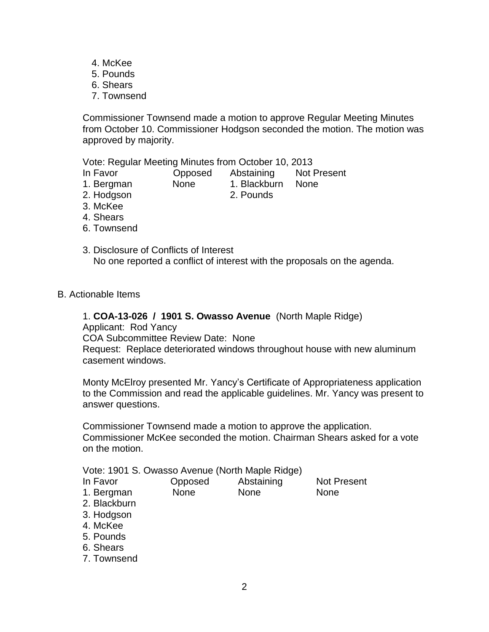- 4. McKee
- 5. Pounds
- 6. Shears
- 7. Townsend

Commissioner Townsend made a motion to approve Regular Meeting Minutes from October 10. Commissioner Hodgson seconded the motion. The motion was approved by majority.

Vote: Regular Meeting Minutes from October 10, 2013

- In Favor Opposed Abstaining Not Present
- 1. Bergman None 1. Blackburn None

2. Hodgson 2. Pounds

- 3. McKee
- 4. Shears
- 6. Townsend
- 3. Disclosure of Conflicts of Interest No one reported a conflict of interest with the proposals on the agenda.
- B. Actionable Items

#### 1. **COA-13-026 / 1901 S. Owasso Avenue** (North Maple Ridge)

Applicant: Rod Yancy

COA Subcommittee Review Date: None

Request: Replace deteriorated windows throughout house with new aluminum casement windows.

Monty McElroy presented Mr. Yancy's Certificate of Appropriateness application to the Commission and read the applicable guidelines. Mr. Yancy was present to answer questions.

Commissioner Townsend made a motion to approve the application. Commissioner McKee seconded the motion. Chairman Shears asked for a vote on the motion.

| Vote: 1901 S. Owasso Avenue (North Maple Ridge) |  |  |  |  |  |
|-------------------------------------------------|--|--|--|--|--|
|-------------------------------------------------|--|--|--|--|--|

| In Favor   | Opposed     | Abstaining  | <b>Not Present</b> |
|------------|-------------|-------------|--------------------|
| 1. Bergman | <b>None</b> | <b>None</b> | <b>None</b>        |

- 2. Blackburn
- 3. Hodgson
- 4. McKee
- 5. Pounds
- 6. Shears
- 7. Townsend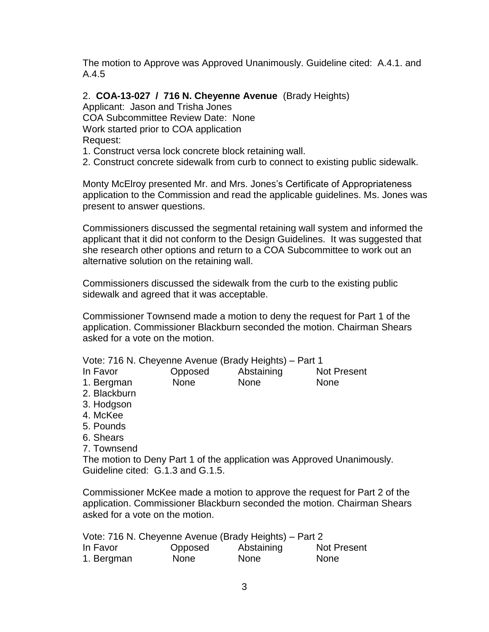The motion to Approve was Approved Unanimously. Guideline cited: A.4.1. and A.4.5

2. **COA-13-027 / 716 N. Cheyenne Avenue** (Brady Heights)

Applicant: Jason and Trisha Jones

COA Subcommittee Review Date: None

Work started prior to COA application

Request:

1. Construct versa lock concrete block retaining wall.

2. Construct concrete sidewalk from curb to connect to existing public sidewalk.

Monty McElroy presented Mr. and Mrs. Jones's Certificate of Appropriateness application to the Commission and read the applicable guidelines. Ms. Jones was present to answer questions.

Commissioners discussed the segmental retaining wall system and informed the applicant that it did not conform to the Design Guidelines. It was suggested that she research other options and return to a COA Subcommittee to work out an alternative solution on the retaining wall.

Commissioners discussed the sidewalk from the curb to the existing public sidewalk and agreed that it was acceptable.

Commissioner Townsend made a motion to deny the request for Part 1 of the application. Commissioner Blackburn seconded the motion. Chairman Shears asked for a vote on the motion.

Vote: 716 N. Cheyenne Avenue (Brady Heights) – Part 1

| In Favor   | Opposed     | Abstaining  | <b>Not Present</b> |
|------------|-------------|-------------|--------------------|
| 1. Bergman | <b>None</b> | <b>None</b> | <b>None</b>        |

- 2. Blackburn
- 3. Hodgson
- 4. McKee
- 5. Pounds
- 6. Shears
- 7. Townsend

The motion to Deny Part 1 of the application was Approved Unanimously. Guideline cited: G.1.3 and G.1.5.

Commissioner McKee made a motion to approve the request for Part 2 of the application. Commissioner Blackburn seconded the motion. Chairman Shears asked for a vote on the motion.

| Vote: 716 N. Cheyenne Avenue (Brady Heights) – Part 2 |             |             |                    |  |
|-------------------------------------------------------|-------------|-------------|--------------------|--|
| In Favor                                              | Opposed     | Abstaining  | <b>Not Present</b> |  |
| 1. Bergman                                            | <b>None</b> | <b>None</b> | <b>None</b>        |  |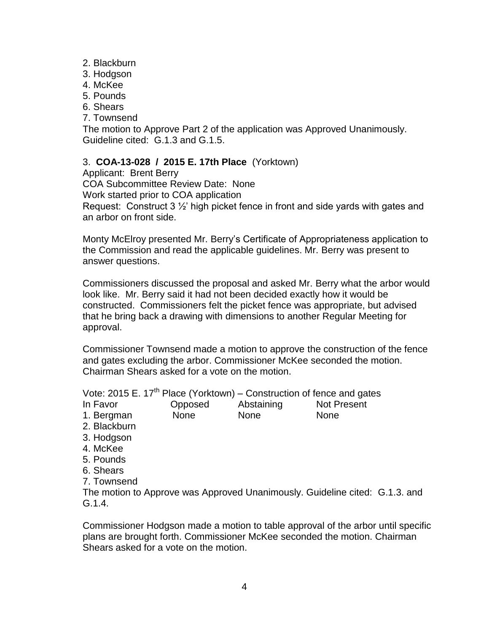- 2. Blackburn
- 3. Hodgson
- 4. McKee
- 5. Pounds
- 6. Shears
- 7. Townsend

The motion to Approve Part 2 of the application was Approved Unanimously. Guideline cited: G.1.3 and G.1.5.

### 3. **COA-13-028 / 2015 E. 17th Place** (Yorktown)

Applicant: Brent Berry COA Subcommittee Review Date: None Work started prior to COA application Request: Construct 3 ½' high picket fence in front and side yards with gates and an arbor on front side.

Monty McElroy presented Mr. Berry's Certificate of Appropriateness application to the Commission and read the applicable guidelines. Mr. Berry was present to answer questions.

Commissioners discussed the proposal and asked Mr. Berry what the arbor would look like. Mr. Berry said it had not been decided exactly how it would be constructed. Commissioners felt the picket fence was appropriate, but advised that he bring back a drawing with dimensions to another Regular Meeting for approval.

Commissioner Townsend made a motion to approve the construction of the fence and gates excluding the arbor. Commissioner McKee seconded the motion. Chairman Shears asked for a vote on the motion.

Vote: 2015 E.  $17<sup>th</sup>$  Place (Yorktown) – Construction of fence and gates

In Favor Opposed Abstaining Not Present 1. Bergman None None None

- 2. Blackburn
- 3. Hodgson
- 4. McKee
- 5. Pounds
- 6. Shears
- 7. Townsend

The motion to Approve was Approved Unanimously. Guideline cited: G.1.3. and G.1.4.

Commissioner Hodgson made a motion to table approval of the arbor until specific plans are brought forth. Commissioner McKee seconded the motion. Chairman Shears asked for a vote on the motion.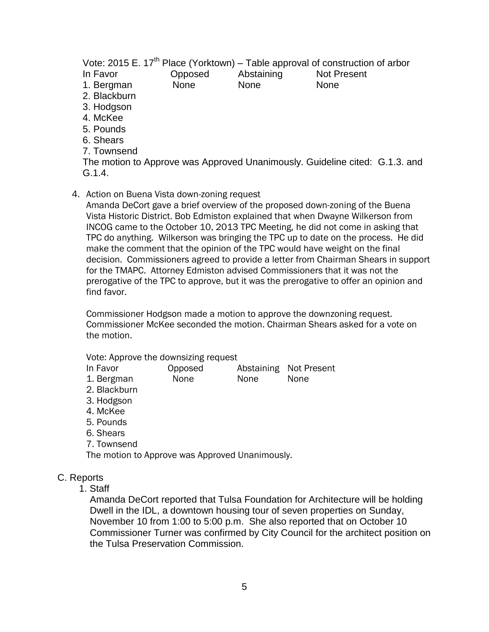Vote: 2015 E.  $17<sup>th</sup>$  Place (Yorktown) – Table approval of construction of arbor In Favor Opposed Abstaining Not Present 1. Bergman None None None 2. Blackburn 3. Hodgson 4. McKee 5. Pounds 6. Shears

7. Townsend

The motion to Approve was Approved Unanimously. Guideline cited: G.1.3. and G.1.4.

4. Action on Buena Vista down-zoning request

Amanda DeCort gave a brief overview of the proposed down-zoning of the Buena Vista Historic District. Bob Edmiston explained that when Dwayne Wilkerson from INCOG came to the October 10, 2013 TPC Meeting, he did not come in asking that TPC do anything. Wilkerson was bringing the TPC up to date on the process. He did make the comment that the opinion of the TPC would have weight on the final decision. Commissioners agreed to provide a letter from Chairman Shears in support for the TMAPC. Attorney Edmiston advised Commissioners that it was not the prerogative of the TPC to approve, but it was the prerogative to offer an opinion and find favor.

Commissioner Hodgson made a motion to approve the downzoning request. Commissioner McKee seconded the motion. Chairman Shears asked for a vote on the motion.

Vote: Approve the downsizing request

- In Favor Opposed Abstaining Not Present
- 1. Bergman None None None
- 2. Blackburn
- 3. Hodgson
- 4. McKee
- 5. Pounds
- 6. Shears
- 7. Townsend

The motion to Approve was Approved Unanimously.

#### C. Reports

1. Staff

Amanda DeCort reported that Tulsa Foundation for Architecture will be holding Dwell in the IDL, a downtown housing tour of seven properties on Sunday, November 10 from 1:00 to 5:00 p.m. She also reported that on October 10 Commissioner Turner was confirmed by City Council for the architect position on the Tulsa Preservation Commission.